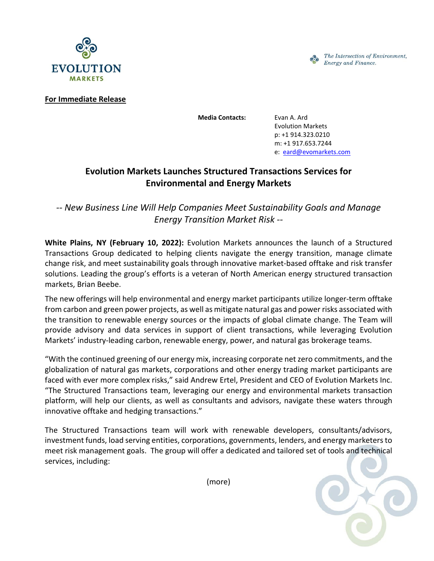



**For Immediate Release**

**Media Contacts:** Evan A. Ard

Evolution Markets p: +1 914.323.0210 m: +1 917.653.7244 e: [eard@evomarkets.com](mailto:%20eard@evomarkets.com)

## **Evolution Markets Launches Structured Transactions Services for Environmental and Energy Markets**

*-- New Business Line Will Help Companies Meet Sustainability Goals and Manage Energy Transition Market Risk --*

**White Plains, NY (February 10, 2022):** Evolution Markets announces the launch of a Structured Transactions Group dedicated to helping clients navigate the energy transition, manage climate change risk, and meet sustainability goals through innovative market-based offtake and risk transfer solutions. Leading the group's efforts is a veteran of North American energy structured transaction markets, Brian Beebe.

The new offerings will help environmental and energy market participants utilize longer-term offtake from carbon and green power projects, as well as mitigate natural gas and power risks associated with the transition to renewable energy sources or the impacts of global climate change. The Team will provide advisory and data services in support of client transactions, while leveraging Evolution Markets' industry-leading carbon, renewable energy, power, and natural gas brokerage teams.

"With the continued greening of our energy mix, increasing corporate net zero commitments, and the globalization of natural gas markets, corporations and other energy trading market participants are faced with ever more complex risks," said Andrew Ertel, President and CEO of Evolution Markets Inc. "The Structured Transactions team, leveraging our energy and environmental markets transaction platform, will help our clients, as well as consultants and advisors, navigate these waters through innovative offtake and hedging transactions."

The Structured Transactions team will work with renewable developers, consultants/advisors, investment funds, load serving entities, corporations, governments, lenders, and energy marketers to meet risk management goals. The group will offer a dedicated and tailored set of tools and technical services, including:

(more)